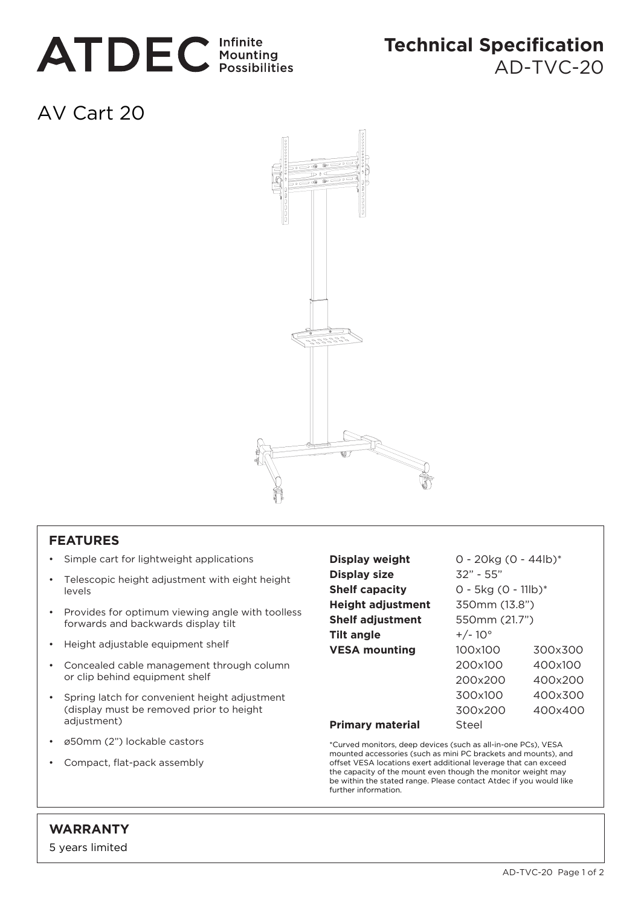

## **Technical Specification**

AD-TVC-20

## AV Cart 20



## **FEATURES**

- Simple cart for lightweight applications
- Telescopic height adjustment with eight height levels
- Provides for optimum viewing angle with toolless forwards and backwards display tilt
- Height adjustable equipment shelf
- Concealed cable management through column or clip behind equipment shelf
- Spring latch for convenient height adjustment (display must be removed prior to height adjustment)
- ø50mm (2") lockable castors
- Compact, flat-pack assembly

| Display weight           | $0 - 20kg (0 - 44lb)^*$ |         |
|--------------------------|-------------------------|---------|
| <b>Display size</b>      | $32" - 55"$             |         |
| <b>Shelf capacity</b>    | $0 - 5kg (0 - 11lb)^*$  |         |
| <b>Height adjustment</b> | 350mm (13.8")           |         |
| <b>Shelf adjustment</b>  | 550mm (21.7")           |         |
| <b>Tilt angle</b>        | $+/-10^{\circ}$         |         |
| <b>VESA mounting</b>     | 100x100                 | 300x300 |
|                          | 200x100                 | 400x100 |
|                          | 200x200                 | 400x200 |
|                          | 300x100                 | 400x300 |
|                          | 300x200                 | 400x400 |
| <b>Primary material</b>  | Steel                   |         |

\*Curved monitors, deep devices (such as all-in-one PCs), VESA mounted accessories (such as mini PC brackets and mounts), and offset VESA locations exert additional leverage that can exceed the capacity of the mount even though the monitor weight may be within the stated range. Please contact Atdec if you would like further information.

## **WARRANTY**

5 years limited